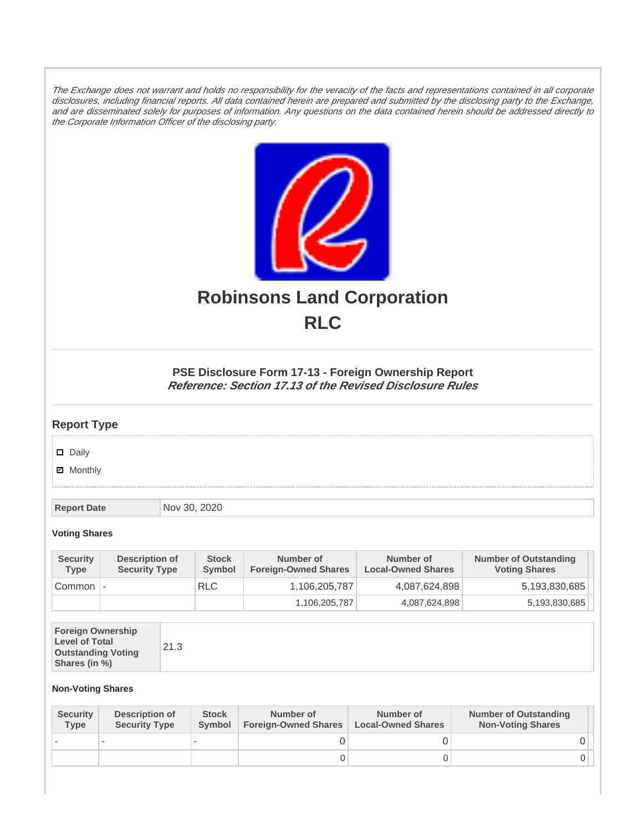The Exchange does not warrant and holds no responsibility for the veracity of the facts and representations contained in all corporate disclosures, including financial reports. All data contained herein are prepared and submitted by the disclosing party to the Exchange, and are disseminated solely for purposes of information. Any questions on the data contained herein should be addressed directly to the Corporate Information Officer of the disclosing party.



# **Robinsons Land Corporation RLC**

## **PSE Disclosure Form 17-13 - Foreign Ownership Report Reference: Section 17.13 of the Revised Disclosure Rules**

## **Report Type**

Daily

**Ø** Monthly

**Report Date** Nov 30, 2020

#### **Voting Shares**

| <b>Security</b><br><b>Type</b> | Description of<br><b>Security Type</b> | <b>Stock</b><br>Symbol | Number of<br><b>Foreign-Owned Shares</b> | Number of<br><b>Local-Owned Shares</b> | <b>Number of Outstanding</b><br><b>Voting Shares</b> |
|--------------------------------|----------------------------------------|------------------------|------------------------------------------|----------------------------------------|------------------------------------------------------|
| Common                         |                                        | <b>RLC</b>             | 1,106,205,787                            | 4,087,624,898                          | 5,193,830,685                                        |
|                                |                                        |                        | 1,106,205,787                            | 4,087,624,898                          | 5,193,830,685                                        |

| <b>Foreign Ownership</b><br><b>Level of Total</b><br><b>Outstanding Voting</b><br>Shares (in %) | 21.3 |
|-------------------------------------------------------------------------------------------------|------|
|-------------------------------------------------------------------------------------------------|------|

### **Non-Voting Shares**

| <b>Security</b><br><b>Type</b> | Description of<br><b>Security Type</b> | <b>Stock</b><br>Symbol | Number of<br><b>Foreign-Owned Shares</b> | Number of<br><b>Local-Owned Shares</b> | <b>Number of Outstanding</b><br><b>Non-Voting Shares</b> |
|--------------------------------|----------------------------------------|------------------------|------------------------------------------|----------------------------------------|----------------------------------------------------------|
|                                |                                        |                        |                                          |                                        |                                                          |
|                                |                                        |                        | O                                        |                                        |                                                          |